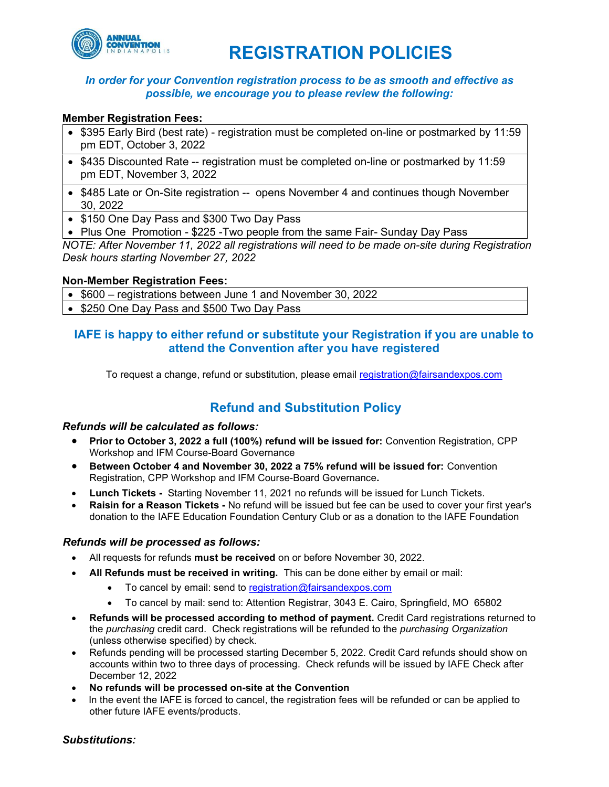

# REGISTRATION POLICIES

## In order for your Convention registration process to be as smooth and effective as possible, we encourage you to please review the following:

## Member Registration Fees:

- \$395 Early Bird (best rate) registration must be completed on-line or postmarked by 11:59 pm EDT, October 3, 2022
- \$435 Discounted Rate -- registration must be completed on-line or postmarked by 11:59 pm EDT, November 3, 2022
- \$485 Late or On-Site registration -- opens November 4 and continues though November 30, 2022
- \$150 One Day Pass and \$300 Two Day Pass
- Plus One Promotion \$225 Two people from the same Fair- Sunday Day Pass

NOTE: After November 11, 2022 all registrations will need to be made on-site during Registration Desk hours starting November 27, 2022

### Non-Member Registration Fees:

- \$600 registrations between June 1 and November 30, 2022
- \$250 One Day Pass and \$500 Two Day Pass

## IAFE is happy to either refund or substitute your Registration if you are unable to attend the Convention after you have registered

To request a change, refund or substitution, please email registration@fairsandexpos.com

## Refund and Substitution Policy

## Refunds will be calculated as follows:

- Prior to October 3, 2022 a full (100%) refund will be issued for: Convention Registration, CPP Workshop and IFM Course-Board Governance
- Between October 4 and November 30, 2022 a 75% refund will be issued for: Convention Registration, CPP Workshop and IFM Course-Board Governance.
- Lunch Tickets Starting November 11, 2021 no refunds will be issued for Lunch Tickets.
- Raisin for a Reason Tickets No refund will be issued but fee can be used to cover your first year's donation to the IAFE Education Foundation Century Club or as a donation to the IAFE Foundation

### Refunds will be processed as follows:

- All requests for refunds must be received on or before November 30, 2022.
- All Refunds must be received in writing. This can be done either by email or mail:
	- $\bullet$  To cancel by email: send to registration@fairsandexpos.com
	- To cancel by mail: send to: Attention Registrar, 3043 E. Cairo, Springfield, MO 65802
- Refunds will be processed according to method of payment. Credit Card registrations returned to the purchasing credit card. Check registrations will be refunded to the purchasing Organization (unless otherwise specified) by check.
- Refunds pending will be processed starting December 5, 2022. Credit Card refunds should show on accounts within two to three days of processing. Check refunds will be issued by IAFE Check after December 12, 2022
- No refunds will be processed on-site at the Convention
- In the event the IAFE is forced to cancel, the registration fees will be refunded or can be applied to other future IAFE events/products.

### Substitutions: